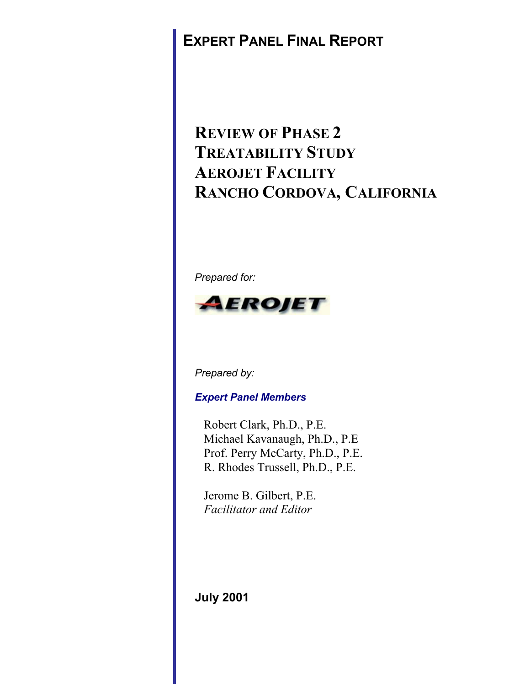## **EXPERT PANEL FINAL REPORT**

# **REVIEW OF PHASE 2 TREATABILITY STUDY AEROJET FACILITY RANCHO CORDOVA, CALIFORNIA**

*Prepared for:*



*Prepared by:*

*Expert Panel Members*

 Robert Clark, Ph.D., P.E. Michael Kavanaugh, Ph.D., P.E Prof. Perry McCarty, Ph.D., P.E. R. Rhodes Trussell, Ph.D., P.E.

 Jerome B. Gilbert, P.E. *Facilitator and Editor*

**July 2001**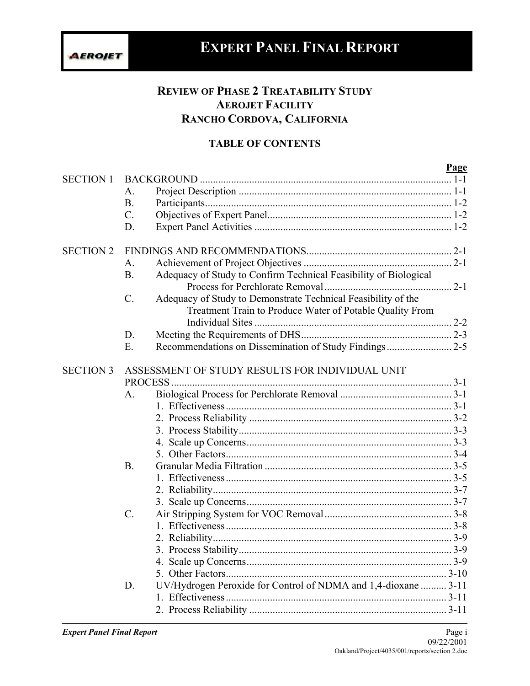# **EXPERT PANEL FINAL REPORT**

## **REVIEW OF PHASE 2 TREATABILITY STUDY AEROJET FACILITY RANCHO CORDOVA, CALIFORNIA**

## **TABLE OF CONTENTS**

|                  |                                                                                  | Page |  |
|------------------|----------------------------------------------------------------------------------|------|--|
| <b>SECTION 1</b> |                                                                                  |      |  |
|                  | A.                                                                               |      |  |
|                  | <b>B.</b>                                                                        |      |  |
|                  | $\mathcal{C}$ .                                                                  |      |  |
|                  | D.                                                                               |      |  |
| <b>SECTION 2</b> |                                                                                  |      |  |
|                  | A.                                                                               |      |  |
|                  | Adequacy of Study to Confirm Technical Feasibility of Biological<br>B.           |      |  |
|                  |                                                                                  |      |  |
|                  | Adequacy of Study to Demonstrate Technical Feasibility of the<br>$\mathcal{C}$ . |      |  |
|                  | Treatment Train to Produce Water of Potable Quality From                         |      |  |
|                  |                                                                                  |      |  |
|                  | D.                                                                               |      |  |
|                  | E.                                                                               |      |  |
|                  |                                                                                  |      |  |
| <b>SECTION 3</b> | ASSESSMENT OF STUDY RESULTS FOR INDIVIDUAL UNIT                                  |      |  |
|                  | <b>PROCESS</b>                                                                   |      |  |
|                  | A.                                                                               |      |  |
|                  |                                                                                  |      |  |
|                  |                                                                                  |      |  |
|                  |                                                                                  |      |  |
|                  |                                                                                  |      |  |
|                  |                                                                                  |      |  |
|                  | <b>B.</b>                                                                        |      |  |
|                  |                                                                                  |      |  |
|                  |                                                                                  |      |  |
|                  |                                                                                  |      |  |
|                  | $C$ .                                                                            |      |  |
|                  |                                                                                  |      |  |
|                  |                                                                                  |      |  |
|                  |                                                                                  |      |  |
|                  |                                                                                  |      |  |
|                  |                                                                                  |      |  |
|                  | UV/Hydrogen Peroxide for Control of NDMA and 1,4-dioxane  3-11<br>D.             |      |  |
|                  |                                                                                  |      |  |
|                  |                                                                                  |      |  |
|                  |                                                                                  |      |  |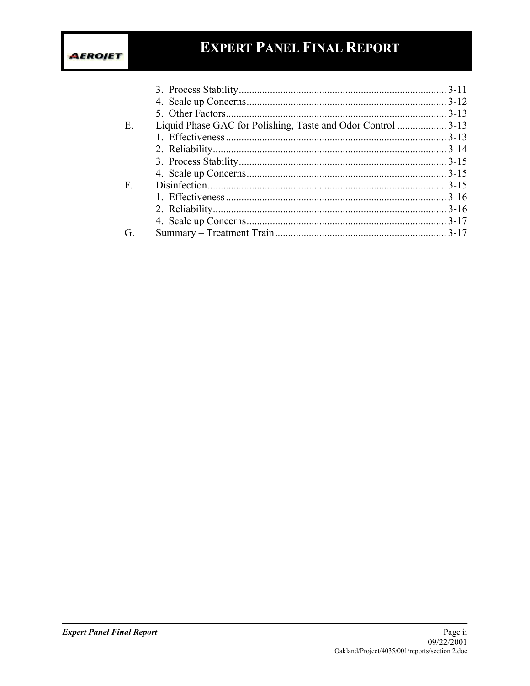## **EXPERT PANEL FINAL REPORT**

| Е. |  |
|----|--|
|    |  |
|    |  |
|    |  |
|    |  |
| F. |  |
|    |  |
|    |  |
|    |  |
| G. |  |
|    |  |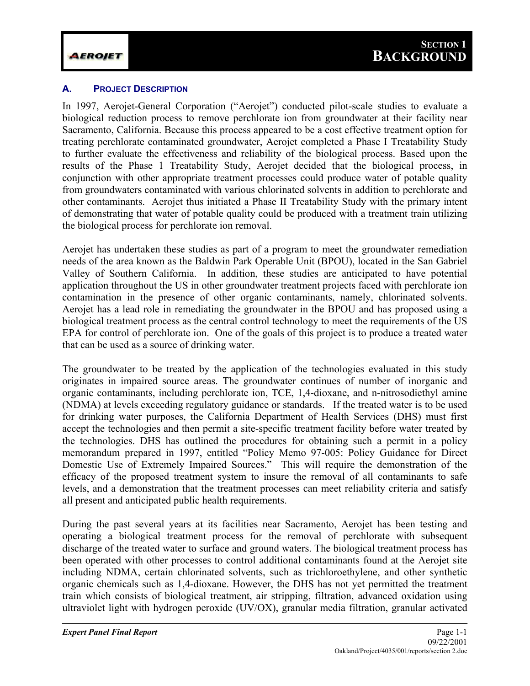#### **A. PROJECT DESCRIPTION**

In 1997, Aerojet-General Corporation ("Aerojet") conducted pilot-scale studies to evaluate a biological reduction process to remove perchlorate ion from groundwater at their facility near Sacramento, California. Because this process appeared to be a cost effective treatment option for treating perchlorate contaminated groundwater, Aerojet completed a Phase I Treatability Study to further evaluate the effectiveness and reliability of the biological process. Based upon the results of the Phase 1 Treatability Study, Aerojet decided that the biological process, in conjunction with other appropriate treatment processes could produce water of potable quality from groundwaters contaminated with various chlorinated solvents in addition to perchlorate and other contaminants. Aerojet thus initiated a Phase II Treatability Study with the primary intent of demonstrating that water of potable quality could be produced with a treatment train utilizing the biological process for perchlorate ion removal.

Aerojet has undertaken these studies as part of a program to meet the groundwater remediation needs of the area known as the Baldwin Park Operable Unit (BPOU), located in the San Gabriel Valley of Southern California. In addition, these studies are anticipated to have potential application throughout the US in other groundwater treatment projects faced with perchlorate ion contamination in the presence of other organic contaminants, namely, chlorinated solvents. Aerojet has a lead role in remediating the groundwater in the BPOU and has proposed using a biological treatment process as the central control technology to meet the requirements of the US EPA for control of perchlorate ion. One of the goals of this project is to produce a treated water that can be used as a source of drinking water.

The groundwater to be treated by the application of the technologies evaluated in this study originates in impaired source areas. The groundwater continues of number of inorganic and organic contaminants, including perchlorate ion, TCE, 1,4-dioxane, and n-nitrosodiethyl amine (NDMA) at levels exceeding regulatory guidance or standards. If the treated water is to be used for drinking water purposes, the California Department of Health Services (DHS) must first accept the technologies and then permit a site-specific treatment facility before water treated by the technologies. DHS has outlined the procedures for obtaining such a permit in a policy memorandum prepared in 1997, entitled "Policy Memo 97-005: Policy Guidance for Direct Domestic Use of Extremely Impaired Sources." This will require the demonstration of the efficacy of the proposed treatment system to insure the removal of all contaminants to safe levels, and a demonstration that the treatment processes can meet reliability criteria and satisfy all present and anticipated public health requirements.

During the past several years at its facilities near Sacramento, Aerojet has been testing and operating a biological treatment process for the removal of perchlorate with subsequent discharge of the treated water to surface and ground waters. The biological treatment process has been operated with other processes to control additional contaminants found at the Aerojet site including NDMA, certain chlorinated solvents, such as trichloroethylene, and other synthetic organic chemicals such as 1,4-dioxane. However, the DHS has not yet permitted the treatment train which consists of biological treatment, air stripping, filtration, advanced oxidation using ultraviolet light with hydrogen peroxide (UV/OX), granular media filtration, granular activated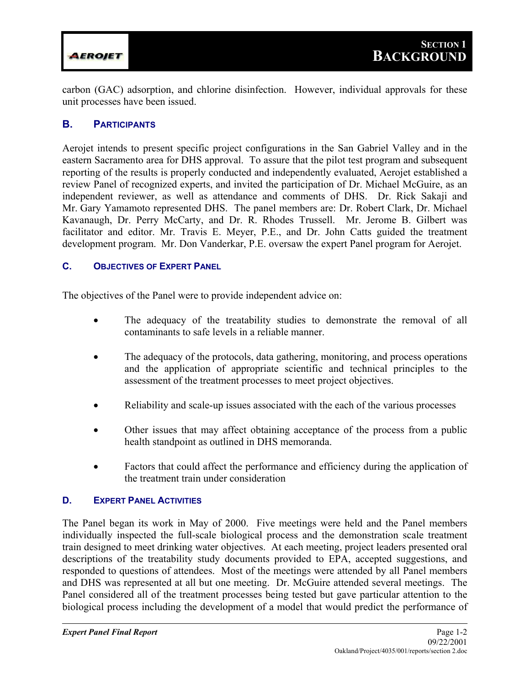

carbon (GAC) adsorption, and chlorine disinfection. However, individual approvals for these unit processes have been issued.

#### **B. PARTICIPANTS**

Aerojet intends to present specific project configurations in the San Gabriel Valley and in the eastern Sacramento area for DHS approval. To assure that the pilot test program and subsequent reporting of the results is properly conducted and independently evaluated, Aerojet established a review Panel of recognized experts, and invited the participation of Dr. Michael McGuire, as an independent reviewer, as well as attendance and comments of DHS. Dr. Rick Sakaji and Mr. Gary Yamamoto represented DHS. The panel members are: Dr. Robert Clark, Dr. Michael Kavanaugh, Dr. Perry McCarty, and Dr. R. Rhodes Trussell. Mr. Jerome B. Gilbert was facilitator and editor. Mr. Travis E. Meyer, P.E., and Dr. John Catts guided the treatment development program. Mr. Don Vanderkar, P.E. oversaw the expert Panel program for Aerojet.

#### **C. OBJECTIVES OF EXPERT PANEL**

The objectives of the Panel were to provide independent advice on:

- The adequacy of the treatability studies to demonstrate the removal of all contaminants to safe levels in a reliable manner.
- The adequacy of the protocols, data gathering, monitoring, and process operations and the application of appropriate scientific and technical principles to the assessment of the treatment processes to meet project objectives.
- Reliability and scale-up issues associated with the each of the various processes
- Other issues that may affect obtaining acceptance of the process from a public health standpoint as outlined in DHS memoranda.
- Factors that could affect the performance and efficiency during the application of the treatment train under consideration

#### **D. EXPERT PANEL ACTIVITIES**

The Panel began its work in May of 2000. Five meetings were held and the Panel members individually inspected the full-scale biological process and the demonstration scale treatment train designed to meet drinking water objectives. At each meeting, project leaders presented oral descriptions of the treatability study documents provided to EPA, accepted suggestions, and responded to questions of attendees. Most of the meetings were attended by all Panel members and DHS was represented at all but one meeting. Dr. McGuire attended several meetings. The Panel considered all of the treatment processes being tested but gave particular attention to the biological process including the development of a model that would predict the performance of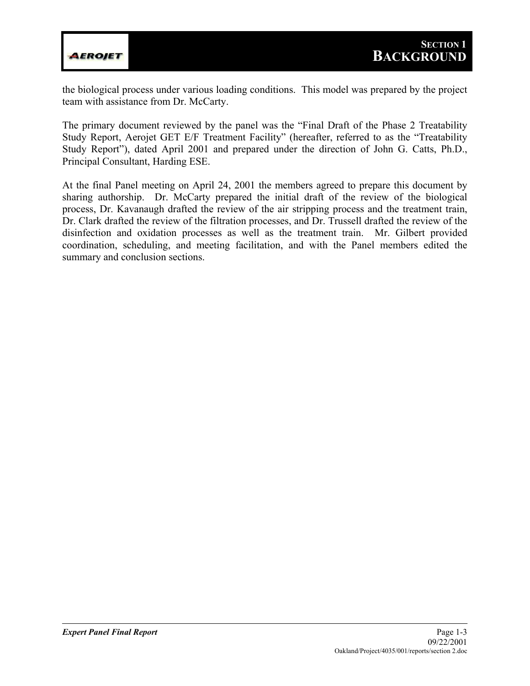

the biological process under various loading conditions. This model was prepared by the project team with assistance from Dr. McCarty.

The primary document reviewed by the panel was the "Final Draft of the Phase 2 Treatability Study Report, Aerojet GET E/F Treatment Facility" (hereafter, referred to as the "Treatability Study Report"), dated April 2001 and prepared under the direction of John G. Catts, Ph.D., Principal Consultant, Harding ESE.

At the final Panel meeting on April 24, 2001 the members agreed to prepare this document by sharing authorship. Dr. McCarty prepared the initial draft of the review of the biological process, Dr. Kavanaugh drafted the review of the air stripping process and the treatment train, Dr. Clark drafted the review of the filtration processes, and Dr. Trussell drafted the review of the disinfection and oxidation processes as well as the treatment train. Mr. Gilbert provided coordination, scheduling, and meeting facilitation, and with the Panel members edited the summary and conclusion sections.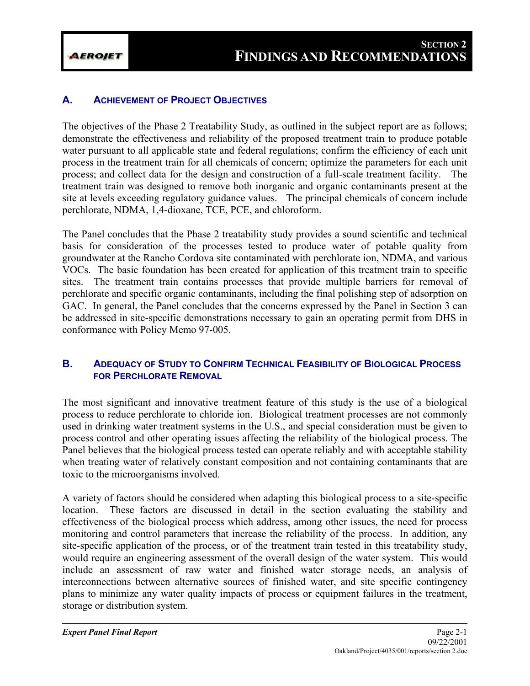## **A. ACHIEVEMENT OF PROJECT OBJECTIVES**

The objectives of the Phase 2 Treatability Study, as outlined in the subject report are as follows; demonstrate the effectiveness and reliability of the proposed treatment train to produce potable water pursuant to all applicable state and federal regulations; confirm the efficiency of each unit process in the treatment train for all chemicals of concern; optimize the parameters for each unit process; and collect data for the design and construction of a full-scale treatment facility. The treatment train was designed to remove both inorganic and organic contaminants present at the site at levels exceeding regulatory guidance values. The principal chemicals of concern include perchlorate, NDMA, 1,4-dioxane, TCE, PCE, and chloroform.

The Panel concludes that the Phase 2 treatability study provides a sound scientific and technical basis for consideration of the processes tested to produce water of potable quality from groundwater at the Rancho Cordova site contaminated with perchlorate ion, NDMA, and various VOCs. The basic foundation has been created for application of this treatment train to specific sites. The treatment train contains processes that provide multiple barriers for removal of perchlorate and specific organic contaminants, including the final polishing step of adsorption on GAC. In general, the Panel concludes that the concerns expressed by the Panel in Section 3 can be addressed in site-specific demonstrations necessary to gain an operating permit from DHS in conformance with Policy Memo 97-005.

## **B. ADEQUACY OF STUDY TO CONFIRM TECHNICAL FEASIBILITY OF BIOLOGICAL PROCESS FOR PERCHLORATE REMOVAL**

The most significant and innovative treatment feature of this study is the use of a biological process to reduce perchlorate to chloride ion. Biological treatment processes are not commonly used in drinking water treatment systems in the U.S., and special consideration must be given to process control and other operating issues affecting the reliability of the biological process. The Panel believes that the biological process tested can operate reliably and with acceptable stability when treating water of relatively constant composition and not containing contaminants that are toxic to the microorganisms involved.

A variety of factors should be considered when adapting this biological process to a site-specific location. These factors are discussed in detail in the section evaluating the stability and effectiveness of the biological process which address, among other issues, the need for process monitoring and control parameters that increase the reliability of the process. In addition, any site-specific application of the process, or of the treatment train tested in this treatability study, would require an engineering assessment of the overall design of the water system. This would include an assessment of raw water and finished water storage needs, an analysis of interconnections between alternative sources of finished water, and site specific contingency plans to minimize any water quality impacts of process or equipment failures in the treatment, storage or distribution system.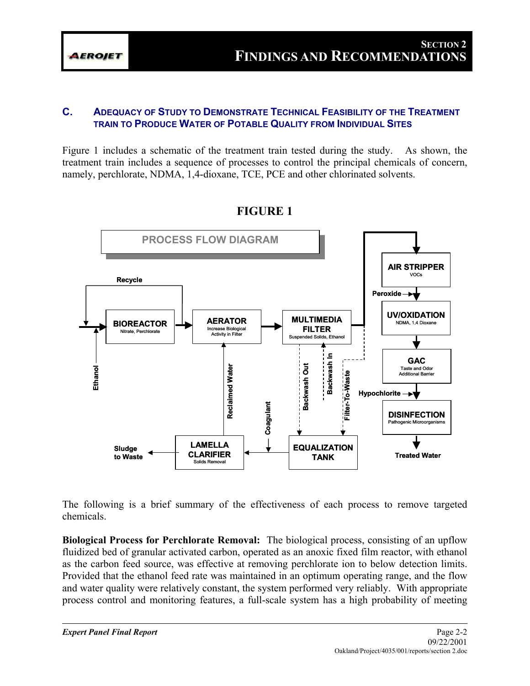#### **C. ADEQUACY OF STUDY TO DEMONSTRATE TECHNICAL FEASIBILITY OF THE TREATMENT TRAIN TO PRODUCE WATER OF POTABLE QUALITY FROM INDIVIDUAL SITES**

Figure 1 includes a schematic of the treatment train tested during the study. As shown, the treatment train includes a sequence of processes to control the principal chemicals of concern, namely, perchlorate, NDMA, 1,4-dioxane, TCE, PCE and other chlorinated solvents.



## **FIGURE 1**

The following is a brief summary of the effectiveness of each process to remove targeted chemicals.

**Biological Process for Perchlorate Removal:** The biological process, consisting of an upflow fluidized bed of granular activated carbon, operated as an anoxic fixed film reactor, with ethanol as the carbon feed source, was effective at removing perchlorate ion to below detection limits. Provided that the ethanol feed rate was maintained in an optimum operating range, and the flow and water quality were relatively constant, the system performed very reliably. With appropriate process control and monitoring features, a full-scale system has a high probability of meeting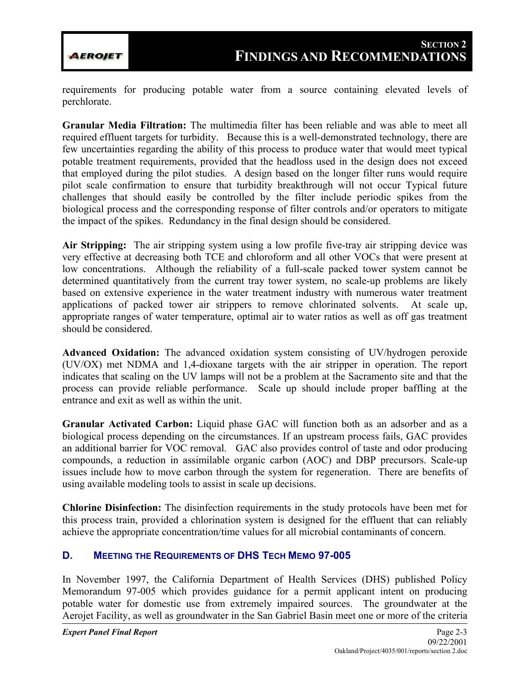

requirements for producing potable water from a source containing elevated levels of perchlorate.

**Granular Media Filtration:** The multimedia filter has been reliable and was able to meet all required effluent targets for turbidity. Because this is a well-demonstrated technology, there are few uncertainties regarding the ability of this process to produce water that would meet typical potable treatment requirements, provided that the headloss used in the design does not exceed that employed during the pilot studies. A design based on the longer filter runs would require pilot scale confirmation to ensure that turbidity breakthrough will not occur Typical future challenges that should easily be controlled by the filter include periodic spikes from the biological process and the corresponding response of filter controls and/or operators to mitigate the impact of the spikes. Redundancy in the final design should be considered.

**Air Stripping:** The air stripping system using a low profile five-tray air stripping device was very effective at decreasing both TCE and chloroform and all other VOCs that were present at low concentrations. Although the reliability of a full-scale packed tower system cannot be determined quantitatively from the current tray tower system, no scale-up problems are likely based on extensive experience in the water treatment industry with numerous water treatment applications of packed tower air strippers to remove chlorinated solvents. At scale up, appropriate ranges of water temperature, optimal air to water ratios as well as off gas treatment should be considered.

**Advanced Oxidation:** The advanced oxidation system consisting of UV/hydrogen peroxide (UV/OX) met NDMA and 1,4-dioxane targets with the air stripper in operation. The report indicates that scaling on the UV lamps will not be a problem at the Sacramento site and that the process can provide reliable performance. Scale up should include proper baffling at the entrance and exit as well as within the unit.

**Granular Activated Carbon:** Liquid phase GAC will function both as an adsorber and as a biological process depending on the circumstances. If an upstream process fails, GAC provides an additional barrier for VOC removal. GAC also provides control of taste and odor producing compounds, a reduction in assimilable organic carbon (AOC) and DBP precursors. Scale-up issues include how to move carbon through the system for regeneration. There are benefits of using available modeling tools to assist in scale up decisions.

**Chlorine Disinfection:** The disinfection requirements in the study protocols have been met for this process train, provided a chlorination system is designed for the effluent that can reliably achieve the appropriate concentration/time values for all microbial contaminants of concern.

## **D. MEETING THE REQUIREMENTS OF DHS TECH MEMO 97-005**

In November 1997, the California Department of Health Services (DHS) published Policy Memorandum 97-005 which provides guidance for a permit applicant intent on producing potable water for domestic use from extremely impaired sources. The groundwater at the Aerojet Facility, as well as groundwater in the San Gabriel Basin meet one or more of the criteria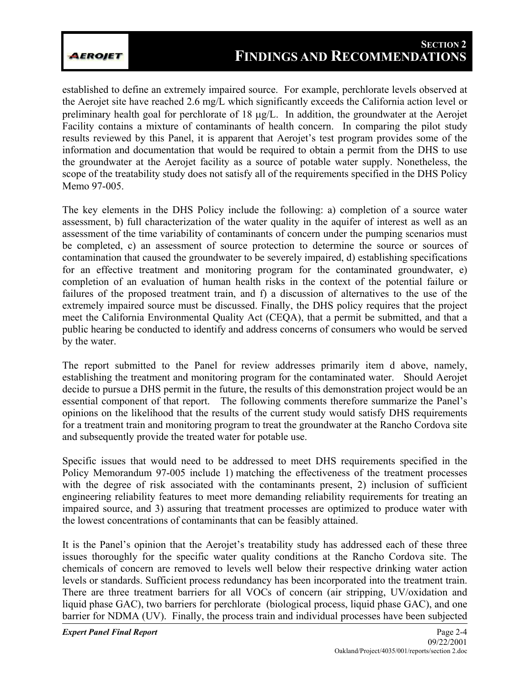**AEROJET** 

established to define an extremely impaired source. For example, perchlorate levels observed at the Aerojet site have reached 2.6 mg/L which significantly exceeds the California action level or preliminary health goal for perchlorate of 18 µg/L. In addition, the groundwater at the Aerojet Facility contains a mixture of contaminants of health concern. In comparing the pilot study results reviewed by this Panel, it is apparent that Aerojet's test program provides some of the information and documentation that would be required to obtain a permit from the DHS to use the groundwater at the Aerojet facility as a source of potable water supply. Nonetheless, the scope of the treatability study does not satisfy all of the requirements specified in the DHS Policy Memo 97-005.

The key elements in the DHS Policy include the following: a) completion of a source water assessment, b) full characterization of the water quality in the aquifer of interest as well as an assessment of the time variability of contaminants of concern under the pumping scenarios must be completed, c) an assessment of source protection to determine the source or sources of contamination that caused the groundwater to be severely impaired, d) establishing specifications for an effective treatment and monitoring program for the contaminated groundwater, e) completion of an evaluation of human health risks in the context of the potential failure or failures of the proposed treatment train, and f) a discussion of alternatives to the use of the extremely impaired source must be discussed. Finally, the DHS policy requires that the project meet the California Environmental Quality Act (CEQA), that a permit be submitted, and that a public hearing be conducted to identify and address concerns of consumers who would be served by the water.

The report submitted to the Panel for review addresses primarily item d above, namely, establishing the treatment and monitoring program for the contaminated water. Should Aerojet decide to pursue a DHS permit in the future, the results of this demonstration project would be an essential component of that report. The following comments therefore summarize the Panel's opinions on the likelihood that the results of the current study would satisfy DHS requirements for a treatment train and monitoring program to treat the groundwater at the Rancho Cordova site and subsequently provide the treated water for potable use.

Specific issues that would need to be addressed to meet DHS requirements specified in the Policy Memorandum 97-005 include 1) matching the effectiveness of the treatment processes with the degree of risk associated with the contaminants present, 2) inclusion of sufficient engineering reliability features to meet more demanding reliability requirements for treating an impaired source, and 3) assuring that treatment processes are optimized to produce water with the lowest concentrations of contaminants that can be feasibly attained.

It is the Panel's opinion that the Aerojet's treatability study has addressed each of these three issues thoroughly for the specific water quality conditions at the Rancho Cordova site. The chemicals of concern are removed to levels well below their respective drinking water action levels or standards. Sufficient process redundancy has been incorporated into the treatment train. There are three treatment barriers for all VOCs of concern (air stripping, UV/oxidation and liquid phase GAC), two barriers for perchlorate (biological process, liquid phase GAC), and one barrier for NDMA (UV). Finally, the process train and individual processes have been subjected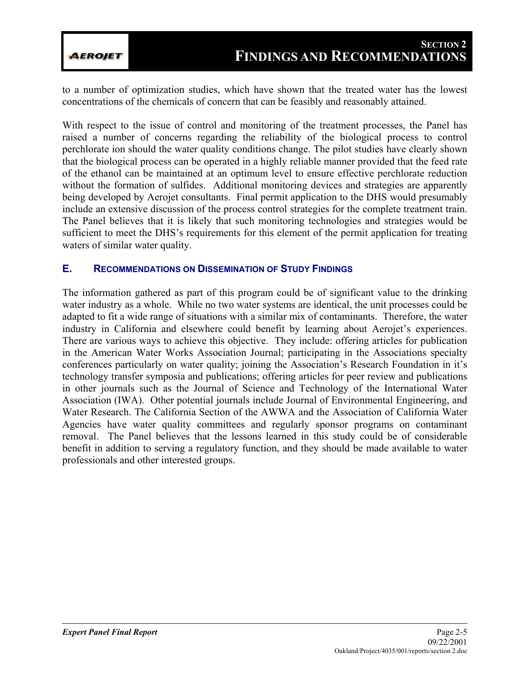to a number of optimization studies, which have shown that the treated water has the lowest concentrations of the chemicals of concern that can be feasibly and reasonably attained.

With respect to the issue of control and monitoring of the treatment processes, the Panel has raised a number of concerns regarding the reliability of the biological process to control perchlorate ion should the water quality conditions change. The pilot studies have clearly shown that the biological process can be operated in a highly reliable manner provided that the feed rate of the ethanol can be maintained at an optimum level to ensure effective perchlorate reduction without the formation of sulfides. Additional monitoring devices and strategies are apparently being developed by Aerojet consultants. Final permit application to the DHS would presumably include an extensive discussion of the process control strategies for the complete treatment train. The Panel believes that it is likely that such monitoring technologies and strategies would be sufficient to meet the DHS's requirements for this element of the permit application for treating waters of similar water quality.

#### **E. RECOMMENDATIONS ON DISSEMINATION OF STUDY FINDINGS**

The information gathered as part of this program could be of significant value to the drinking water industry as a whole. While no two water systems are identical, the unit processes could be adapted to fit a wide range of situations with a similar mix of contaminants. Therefore, the water industry in California and elsewhere could benefit by learning about Aerojet's experiences. There are various ways to achieve this objective. They include: offering articles for publication in the American Water Works Association Journal; participating in the Associations specialty conferences particularly on water quality; joining the Association's Research Foundation in it's technology transfer symposia and publications; offering articles for peer review and publications in other journals such as the Journal of Science and Technology of the International Water Association (IWA). Other potential journals include Journal of Environmental Engineering, and Water Research. The California Section of the AWWA and the Association of California Water Agencies have water quality committees and regularly sponsor programs on contaminant removal. The Panel believes that the lessons learned in this study could be of considerable benefit in addition to serving a regulatory function, and they should be made available to water professionals and other interested groups.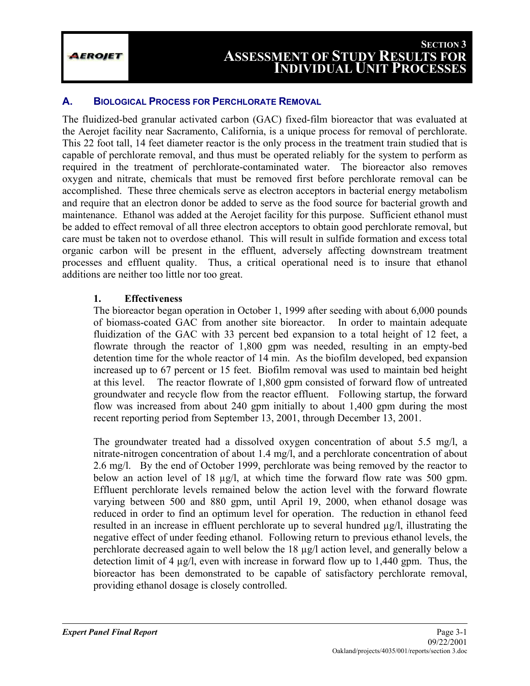#### **A. BIOLOGICAL PROCESS FOR PERCHLORATE REMOVAL**

The fluidized-bed granular activated carbon (GAC) fixed-film bioreactor that was evaluated at the Aerojet facility near Sacramento, California, is a unique process for removal of perchlorate. This 22 foot tall, 14 feet diameter reactor is the only process in the treatment train studied that is capable of perchlorate removal, and thus must be operated reliably for the system to perform as required in the treatment of perchlorate-contaminated water. The bioreactor also removes oxygen and nitrate, chemicals that must be removed first before perchlorate removal can be accomplished. These three chemicals serve as electron acceptors in bacterial energy metabolism and require that an electron donor be added to serve as the food source for bacterial growth and maintenance. Ethanol was added at the Aerojet facility for this purpose. Sufficient ethanol must be added to effect removal of all three electron acceptors to obtain good perchlorate removal, but care must be taken not to overdose ethanol. This will result in sulfide formation and excess total organic carbon will be present in the effluent, adversely affecting downstream treatment processes and effluent quality. Thus, a critical operational need is to insure that ethanol additions are neither too little nor too great.

#### **1. Effectiveness**

The bioreactor began operation in October 1, 1999 after seeding with about 6,000 pounds of biomass-coated GAC from another site bioreactor. In order to maintain adequate fluidization of the GAC with 33 percent bed expansion to a total height of 12 feet, a flowrate through the reactor of 1,800 gpm was needed, resulting in an empty-bed detention time for the whole reactor of 14 min. As the biofilm developed, bed expansion increased up to 67 percent or 15 feet. Biofilm removal was used to maintain bed height at this level. The reactor flowrate of 1,800 gpm consisted of forward flow of untreated groundwater and recycle flow from the reactor effluent. Following startup, the forward flow was increased from about 240 gpm initially to about 1,400 gpm during the most recent reporting period from September 13, 2001, through December 13, 2001.

The groundwater treated had a dissolved oxygen concentration of about 5.5 mg/l, a nitrate-nitrogen concentration of about 1.4 mg/l, and a perchlorate concentration of about 2.6 mg/l. By the end of October 1999, perchlorate was being removed by the reactor to below an action level of 18 µg/l, at which time the forward flow rate was 500 gpm. Effluent perchlorate levels remained below the action level with the forward flowrate varying between 500 and 880 gpm, until April 19, 2000, when ethanol dosage was reduced in order to find an optimum level for operation. The reduction in ethanol feed resulted in an increase in effluent perchlorate up to several hundred µg/l, illustrating the negative effect of under feeding ethanol. Following return to previous ethanol levels, the perchlorate decreased again to well below the 18 µg/l action level, and generally below a detection limit of 4 µg/l, even with increase in forward flow up to 1,440 gpm. Thus, the bioreactor has been demonstrated to be capable of satisfactory perchlorate removal, providing ethanol dosage is closely controlled.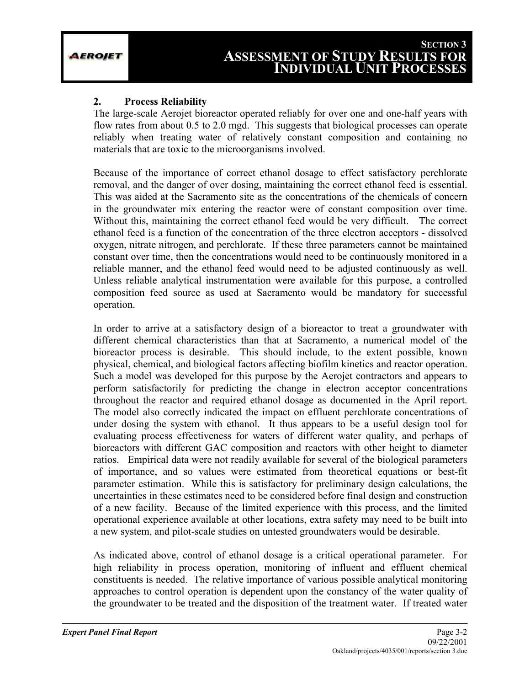## **2. Process Reliability**

The large-scale Aerojet bioreactor operated reliably for over one and one-half years with flow rates from about 0.5 to 2.0 mgd. This suggests that biological processes can operate reliably when treating water of relatively constant composition and containing no materials that are toxic to the microorganisms involved.

Because of the importance of correct ethanol dosage to effect satisfactory perchlorate removal, and the danger of over dosing, maintaining the correct ethanol feed is essential. This was aided at the Sacramento site as the concentrations of the chemicals of concern in the groundwater mix entering the reactor were of constant composition over time. Without this, maintaining the correct ethanol feed would be very difficult. The correct ethanol feed is a function of the concentration of the three electron acceptors - dissolved oxygen, nitrate nitrogen, and perchlorate. If these three parameters cannot be maintained constant over time, then the concentrations would need to be continuously monitored in a reliable manner, and the ethanol feed would need to be adjusted continuously as well. Unless reliable analytical instrumentation were available for this purpose, a controlled composition feed source as used at Sacramento would be mandatory for successful operation.

In order to arrive at a satisfactory design of a bioreactor to treat a groundwater with different chemical characteristics than that at Sacramento, a numerical model of the bioreactor process is desirable. This should include, to the extent possible, known physical, chemical, and biological factors affecting biofilm kinetics and reactor operation. Such a model was developed for this purpose by the Aerojet contractors and appears to perform satisfactorily for predicting the change in electron acceptor concentrations throughout the reactor and required ethanol dosage as documented in the April report. The model also correctly indicated the impact on effluent perchlorate concentrations of under dosing the system with ethanol. It thus appears to be a useful design tool for evaluating process effectiveness for waters of different water quality, and perhaps of bioreactors with different GAC composition and reactors with other height to diameter ratios. Empirical data were not readily available for several of the biological parameters of importance, and so values were estimated from theoretical equations or best-fit parameter estimation. While this is satisfactory for preliminary design calculations, the uncertainties in these estimates need to be considered before final design and construction of a new facility. Because of the limited experience with this process, and the limited operational experience available at other locations, extra safety may need to be built into a new system, and pilot-scale studies on untested groundwaters would be desirable.

As indicated above, control of ethanol dosage is a critical operational parameter. For high reliability in process operation, monitoring of influent and effluent chemical constituents is needed. The relative importance of various possible analytical monitoring approaches to control operation is dependent upon the constancy of the water quality of the groundwater to be treated and the disposition of the treatment water. If treated water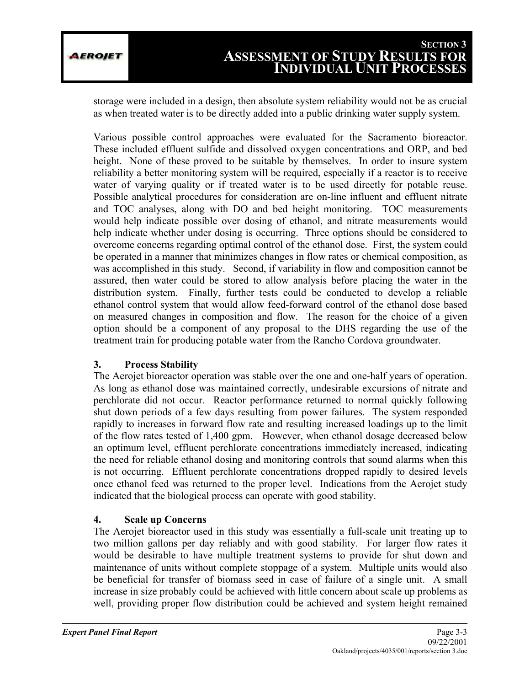storage were included in a design, then absolute system reliability would not be as crucial as when treated water is to be directly added into a public drinking water supply system.

Various possible control approaches were evaluated for the Sacramento bioreactor. These included effluent sulfide and dissolved oxygen concentrations and ORP, and bed height. None of these proved to be suitable by themselves. In order to insure system reliability a better monitoring system will be required, especially if a reactor is to receive water of varying quality or if treated water is to be used directly for potable reuse. Possible analytical procedures for consideration are on-line influent and effluent nitrate and TOC analyses, along with DO and bed height monitoring. TOC measurements would help indicate possible over dosing of ethanol, and nitrate measurements would help indicate whether under dosing is occurring. Three options should be considered to overcome concerns regarding optimal control of the ethanol dose. First, the system could be operated in a manner that minimizes changes in flow rates or chemical composition, as was accomplished in this study. Second, if variability in flow and composition cannot be assured, then water could be stored to allow analysis before placing the water in the distribution system. Finally, further tests could be conducted to develop a reliable ethanol control system that would allow feed-forward control of the ethanol dose based on measured changes in composition and flow. The reason for the choice of a given option should be a component of any proposal to the DHS regarding the use of the treatment train for producing potable water from the Rancho Cordova groundwater.

## **3. Process Stability**

The Aerojet bioreactor operation was stable over the one and one-half years of operation. As long as ethanol dose was maintained correctly, undesirable excursions of nitrate and perchlorate did not occur. Reactor performance returned to normal quickly following shut down periods of a few days resulting from power failures. The system responded rapidly to increases in forward flow rate and resulting increased loadings up to the limit of the flow rates tested of 1,400 gpm. However, when ethanol dosage decreased below an optimum level, effluent perchlorate concentrations immediately increased, indicating the need for reliable ethanol dosing and monitoring controls that sound alarms when this is not occurring. Effluent perchlorate concentrations dropped rapidly to desired levels once ethanol feed was returned to the proper level. Indications from the Aerojet study indicated that the biological process can operate with good stability.

## **4. Scale up Concerns**

The Aerojet bioreactor used in this study was essentially a full-scale unit treating up to two million gallons per day reliably and with good stability. For larger flow rates it would be desirable to have multiple treatment systems to provide for shut down and maintenance of units without complete stoppage of a system. Multiple units would also be beneficial for transfer of biomass seed in case of failure of a single unit. A small increase in size probably could be achieved with little concern about scale up problems as well, providing proper flow distribution could be achieved and system height remained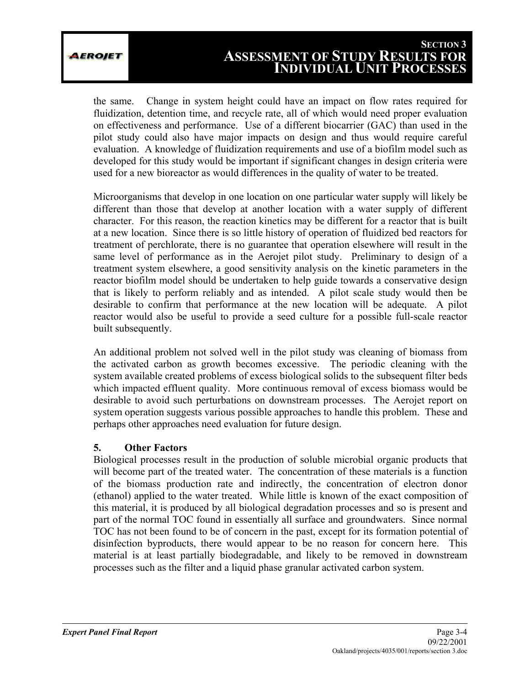the same. Change in system height could have an impact on flow rates required for fluidization, detention time, and recycle rate, all of which would need proper evaluation on effectiveness and performance. Use of a different biocarrier (GAC) than used in the pilot study could also have major impacts on design and thus would require careful evaluation. A knowledge of fluidization requirements and use of a biofilm model such as developed for this study would be important if significant changes in design criteria were used for a new bioreactor as would differences in the quality of water to be treated.

Microorganisms that develop in one location on one particular water supply will likely be different than those that develop at another location with a water supply of different character. For this reason, the reaction kinetics may be different for a reactor that is built at a new location. Since there is so little history of operation of fluidized bed reactors for treatment of perchlorate, there is no guarantee that operation elsewhere will result in the same level of performance as in the Aerojet pilot study. Preliminary to design of a treatment system elsewhere, a good sensitivity analysis on the kinetic parameters in the reactor biofilm model should be undertaken to help guide towards a conservative design that is likely to perform reliably and as intended. A pilot scale study would then be desirable to confirm that performance at the new location will be adequate. A pilot reactor would also be useful to provide a seed culture for a possible full-scale reactor built subsequently.

An additional problem not solved well in the pilot study was cleaning of biomass from the activated carbon as growth becomes excessive. The periodic cleaning with the system available created problems of excess biological solids to the subsequent filter beds which impacted effluent quality. More continuous removal of excess biomass would be desirable to avoid such perturbations on downstream processes. The Aerojet report on system operation suggests various possible approaches to handle this problem. These and perhaps other approaches need evaluation for future design.

## **5. Other Factors**

Biological processes result in the production of soluble microbial organic products that will become part of the treated water. The concentration of these materials is a function of the biomass production rate and indirectly, the concentration of electron donor (ethanol) applied to the water treated. While little is known of the exact composition of this material, it is produced by all biological degradation processes and so is present and part of the normal TOC found in essentially all surface and groundwaters. Since normal TOC has not been found to be of concern in the past, except for its formation potential of disinfection byproducts, there would appear to be no reason for concern here. This material is at least partially biodegradable, and likely to be removed in downstream processes such as the filter and a liquid phase granular activated carbon system.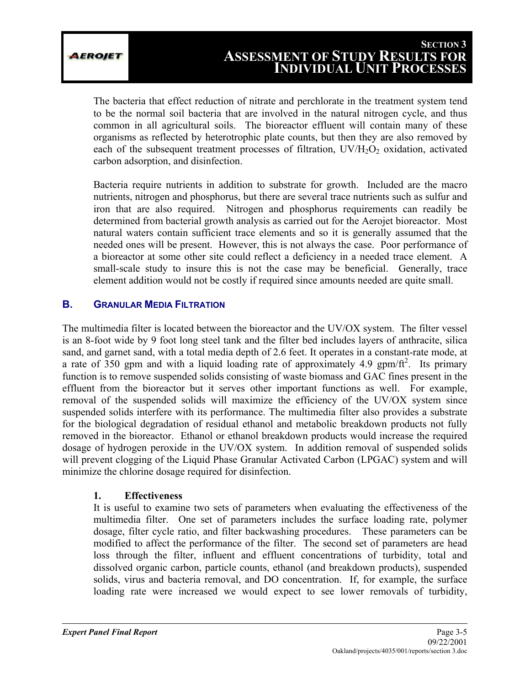EROJET

The bacteria that effect reduction of nitrate and perchlorate in the treatment system tend to be the normal soil bacteria that are involved in the natural nitrogen cycle, and thus common in all agricultural soils. The bioreactor effluent will contain many of these organisms as reflected by heterotrophic plate counts, but then they are also removed by each of the subsequent treatment processes of filtration,  $UV/H<sub>2</sub>O<sub>2</sub>$  oxidation, activated carbon adsorption, and disinfection.

Bacteria require nutrients in addition to substrate for growth. Included are the macro nutrients, nitrogen and phosphorus, but there are several trace nutrients such as sulfur and iron that are also required. Nitrogen and phosphorus requirements can readily be determined from bacterial growth analysis as carried out for the Aerojet bioreactor. Most natural waters contain sufficient trace elements and so it is generally assumed that the needed ones will be present. However, this is not always the case. Poor performance of a bioreactor at some other site could reflect a deficiency in a needed trace element. A small-scale study to insure this is not the case may be beneficial. Generally, trace element addition would not be costly if required since amounts needed are quite small.

## **B. GRANULAR MEDIA FILTRATION**

The multimedia filter is located between the bioreactor and the UV/OX system. The filter vessel is an 8-foot wide by 9 foot long steel tank and the filter bed includes layers of anthracite, silica sand, and garnet sand, with a total media depth of 2.6 feet. It operates in a constant-rate mode, at a rate of 350 gpm and with a liquid loading rate of approximately 4.9 gpm/ft<sup>2</sup>. Its primary function is to remove suspended solids consisting of waste biomass and GAC fines present in the effluent from the bioreactor but it serves other important functions as well. For example, removal of the suspended solids will maximize the efficiency of the UV/OX system since suspended solids interfere with its performance. The multimedia filter also provides a substrate for the biological degradation of residual ethanol and metabolic breakdown products not fully removed in the bioreactor. Ethanol or ethanol breakdown products would increase the required dosage of hydrogen peroxide in the UV/OX system. In addition removal of suspended solids will prevent clogging of the Liquid Phase Granular Activated Carbon (LPGAC) system and will minimize the chlorine dosage required for disinfection.

## **1. Effectiveness**

It is useful to examine two sets of parameters when evaluating the effectiveness of the multimedia filter. One set of parameters includes the surface loading rate, polymer dosage, filter cycle ratio, and filter backwashing procedures. These parameters can be modified to affect the performance of the filter. The second set of parameters are head loss through the filter, influent and effluent concentrations of turbidity, total and dissolved organic carbon, particle counts, ethanol (and breakdown products), suspended solids, virus and bacteria removal, and DO concentration. If, for example, the surface loading rate were increased we would expect to see lower removals of turbidity,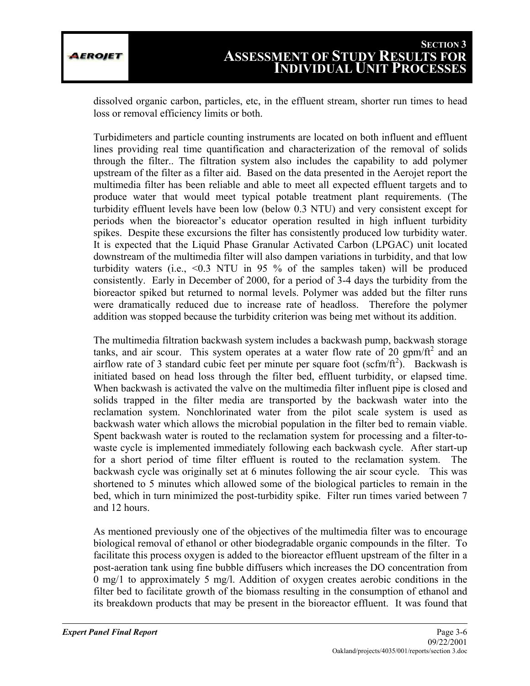dissolved organic carbon, particles, etc, in the effluent stream, shorter run times to head loss or removal efficiency limits or both.

Turbidimeters and particle counting instruments are located on both influent and effluent lines providing real time quantification and characterization of the removal of solids through the filter.. The filtration system also includes the capability to add polymer upstream of the filter as a filter aid. Based on the data presented in the Aerojet report the multimedia filter has been reliable and able to meet all expected effluent targets and to produce water that would meet typical potable treatment plant requirements. (The turbidity effluent levels have been low (below 0.3 NTU) and very consistent except for periods when the bioreactor's educator operation resulted in high influent turbidity spikes. Despite these excursions the filter has consistently produced low turbidity water. It is expected that the Liquid Phase Granular Activated Carbon (LPGAC) unit located downstream of the multimedia filter will also dampen variations in turbidity, and that low turbidity waters (i.e.,  $\leq 0.3$  NTU in 95 % of the samples taken) will be produced consistently. Early in December of 2000, for a period of 3-4 days the turbidity from the bioreactor spiked but returned to normal levels. Polymer was added but the filter runs were dramatically reduced due to increase rate of headloss. Therefore the polymer addition was stopped because the turbidity criterion was being met without its addition.

The multimedia filtration backwash system includes a backwash pump, backwash storage tanks, and air scour. This system operates at a water flow rate of 20 gpm/ $\text{ft}^2$  and an airflow rate of 3 standard cubic feet per minute per square foot ( $\text{scfm/ft}^2$ ). Backwash is initiated based on head loss through the filter bed, effluent turbidity, or elapsed time. When backwash is activated the valve on the multimedia filter influent pipe is closed and solids trapped in the filter media are transported by the backwash water into the reclamation system. Nonchlorinated water from the pilot scale system is used as backwash water which allows the microbial population in the filter bed to remain viable. Spent backwash water is routed to the reclamation system for processing and a filter-towaste cycle is implemented immediately following each backwash cycle. After start-up for a short period of time filter effluent is routed to the reclamation system. The backwash cycle was originally set at 6 minutes following the air scour cycle. This was shortened to 5 minutes which allowed some of the biological particles to remain in the bed, which in turn minimized the post-turbidity spike. Filter run times varied between 7 and 12 hours.

As mentioned previously one of the objectives of the multimedia filter was to encourage biological removal of ethanol or other biodegradable organic compounds in the filter. To facilitate this process oxygen is added to the bioreactor effluent upstream of the filter in a post-aeration tank using fine bubble diffusers which increases the DO concentration from 0 mg/1 to approximately 5 mg/l. Addition of oxygen creates aerobic conditions in the filter bed to facilitate growth of the biomass resulting in the consumption of ethanol and its breakdown products that may be present in the bioreactor effluent. It was found that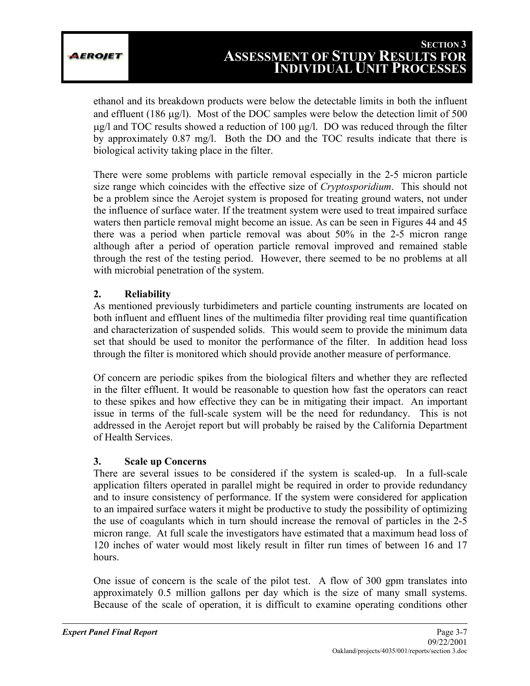ethanol and its breakdown products were below the detectable limits in both the influent and effluent (186 µg/l). Most of the DOC samples were below the detection limit of 500 µg/l and TOC results showed a reduction of 100 µg/l. DO was reduced through the filter by approximately 0.87 mg/l. Both the DO and the TOC results indicate that there is biological activity taking place in the filter.

There were some problems with particle removal especially in the 2-5 micron particle size range which coincides with the effective size of *Cryptosporidium*. This should not be a problem since the Aerojet system is proposed for treating ground waters, not under the influence of surface water. If the treatment system were used to treat impaired surface waters then particle removal might become an issue. As can be seen in Figures 44 and 45 there was a period when particle removal was about 50% in the 2-5 micron range although after a period of operation particle removal improved and remained stable through the rest of the testing period. However, there seemed to be no problems at all with microbial penetration of the system.

## **2. Reliability**

As mentioned previously turbidimeters and particle counting instruments are located on both influent and effluent lines of the multimedia filter providing real time quantification and characterization of suspended solids. This would seem to provide the minimum data set that should be used to monitor the performance of the filter. In addition head loss through the filter is monitored which should provide another measure of performance.

Of concern are periodic spikes from the biological filters and whether they are reflected in the filter effluent. It would be reasonable to question how fast the operators can react to these spikes and how effective they can be in mitigating their impact. An important issue in terms of the full-scale system will be the need for redundancy. This is not addressed in the Aerojet report but will probably be raised by the California Department of Health Services.

## **3. Scale up Concerns**

There are several issues to be considered if the system is scaled-up. In a full-scale application filters operated in parallel might be required in order to provide redundancy and to insure consistency of performance. If the system were considered for application to an impaired surface waters it might be productive to study the possibility of optimizing the use of coagulants which in turn should increase the removal of particles in the 2-5 micron range. At full scale the investigators have estimated that a maximum head loss of 120 inches of water would most likely result in filter run times of between 16 and 17 hours.

One issue of concern is the scale of the pilot test. A flow of 300 gpm translates into approximately 0.5 million gallons per day which is the size of many small systems. Because of the scale of operation, it is difficult to examine operating conditions other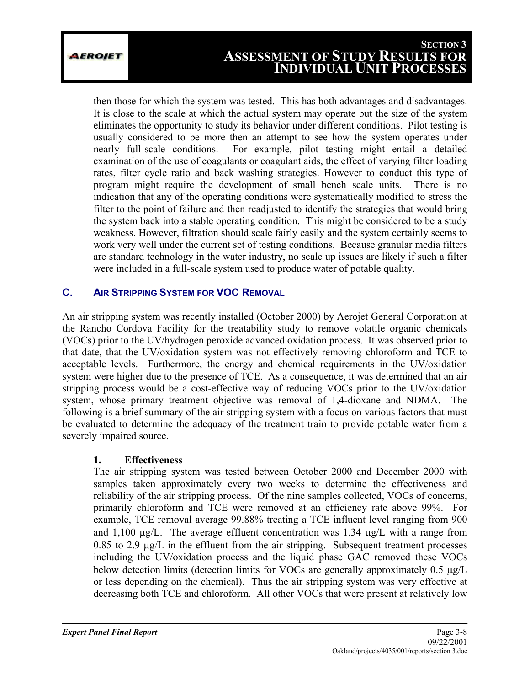then those for which the system was tested. This has both advantages and disadvantages. It is close to the scale at which the actual system may operate but the size of the system eliminates the opportunity to study its behavior under different conditions. Pilot testing is usually considered to be more then an attempt to see how the system operates under nearly full-scale conditions. For example, pilot testing might entail a detailed examination of the use of coagulants or coagulant aids, the effect of varying filter loading rates, filter cycle ratio and back washing strategies. However to conduct this type of program might require the development of small bench scale units. There is no indication that any of the operating conditions were systematically modified to stress the filter to the point of failure and then readjusted to identify the strategies that would bring the system back into a stable operating condition. This might be considered to be a study weakness. However, filtration should scale fairly easily and the system certainly seems to work very well under the current set of testing conditions. Because granular media filters are standard technology in the water industry, no scale up issues are likely if such a filter were included in a full-scale system used to produce water of potable quality.

## **C. AIR STRIPPING SYSTEM FOR VOC REMOVAL**

An air stripping system was recently installed (October 2000) by Aerojet General Corporation at the Rancho Cordova Facility for the treatability study to remove volatile organic chemicals (VOCs) prior to the UV/hydrogen peroxide advanced oxidation process. It was observed prior to that date, that the UV/oxidation system was not effectively removing chloroform and TCE to acceptable levels. Furthermore, the energy and chemical requirements in the UV/oxidation system were higher due to the presence of TCE. As a consequence, it was determined that an air stripping process would be a cost-effective way of reducing VOCs prior to the UV/oxidation system, whose primary treatment objective was removal of 1,4-dioxane and NDMA. The following is a brief summary of the air stripping system with a focus on various factors that must be evaluated to determine the adequacy of the treatment train to provide potable water from a severely impaired source.

## **1. Effectiveness**

The air stripping system was tested between October 2000 and December 2000 with samples taken approximately every two weeks to determine the effectiveness and reliability of the air stripping process. Of the nine samples collected, VOCs of concerns, primarily chloroform and TCE were removed at an efficiency rate above 99%. For example, TCE removal average 99.88% treating a TCE influent level ranging from 900 and  $1,100 \mu g/L$ . The average effluent concentration was 1.34  $\mu g/L$  with a range from  $0.85$  to  $2.9 \text{ µg/L}$  in the effluent from the air stripping. Subsequent treatment processes including the UV/oxidation process and the liquid phase GAC removed these VOCs below detection limits (detection limits for VOCs are generally approximately 0.5 µg/L or less depending on the chemical). Thus the air stripping system was very effective at decreasing both TCE and chloroform. All other VOCs that were present at relatively low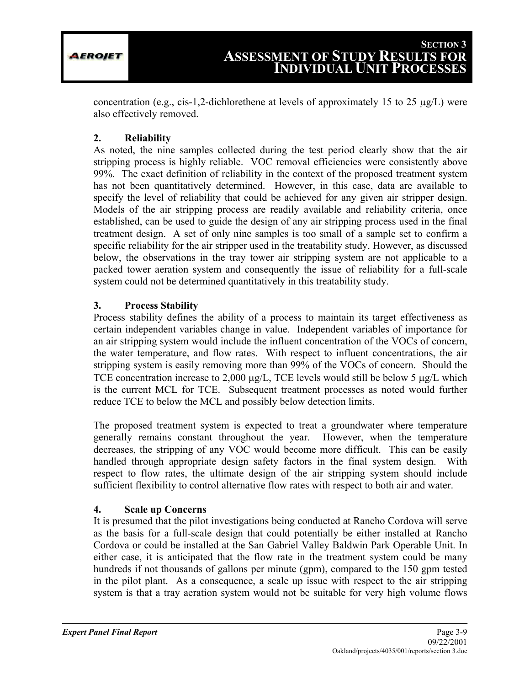concentration (e.g., cis-1,2-dichlorethene at levels of approximately 15 to 25  $\mu$ g/L) were also effectively removed.

## **2. Reliability**

As noted, the nine samples collected during the test period clearly show that the air stripping process is highly reliable. VOC removal efficiencies were consistently above 99%. The exact definition of reliability in the context of the proposed treatment system has not been quantitatively determined. However, in this case, data are available to specify the level of reliability that could be achieved for any given air stripper design. Models of the air stripping process are readily available and reliability criteria, once established, can be used to guide the design of any air stripping process used in the final treatment design. A set of only nine samples is too small of a sample set to confirm a specific reliability for the air stripper used in the treatability study. However, as discussed below, the observations in the tray tower air stripping system are not applicable to a packed tower aeration system and consequently the issue of reliability for a full-scale system could not be determined quantitatively in this treatability study.

## **3. Process Stability**

Process stability defines the ability of a process to maintain its target effectiveness as certain independent variables change in value. Independent variables of importance for an air stripping system would include the influent concentration of the VOCs of concern, the water temperature, and flow rates. With respect to influent concentrations, the air stripping system is easily removing more than 99% of the VOCs of concern. Should the TCE concentration increase to 2,000  $\mu$ g/L, TCE levels would still be below 5  $\mu$ g/L which is the current MCL for TCE. Subsequent treatment processes as noted would further reduce TCE to below the MCL and possibly below detection limits.

The proposed treatment system is expected to treat a groundwater where temperature generally remains constant throughout the year. However, when the temperature decreases, the stripping of any VOC would become more difficult. This can be easily handled through appropriate design safety factors in the final system design. With respect to flow rates, the ultimate design of the air stripping system should include sufficient flexibility to control alternative flow rates with respect to both air and water.

## **4. Scale up Concerns**

It is presumed that the pilot investigations being conducted at Rancho Cordova will serve as the basis for a full-scale design that could potentially be either installed at Rancho Cordova or could be installed at the San Gabriel Valley Baldwin Park Operable Unit. In either case, it is anticipated that the flow rate in the treatment system could be many hundreds if not thousands of gallons per minute (gpm), compared to the 150 gpm tested in the pilot plant. As a consequence, a scale up issue with respect to the air stripping system is that a tray aeration system would not be suitable for very high volume flows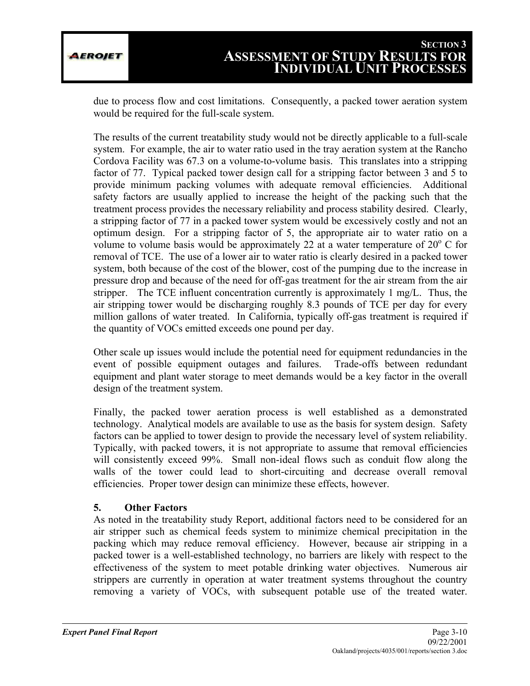due to process flow and cost limitations. Consequently, a packed tower aeration system would be required for the full-scale system.

The results of the current treatability study would not be directly applicable to a full-scale system. For example, the air to water ratio used in the tray aeration system at the Rancho Cordova Facility was 67.3 on a volume-to-volume basis. This translates into a stripping factor of 77. Typical packed tower design call for a stripping factor between 3 and 5 to provide minimum packing volumes with adequate removal efficiencies. Additional safety factors are usually applied to increase the height of the packing such that the treatment process provides the necessary reliability and process stability desired. Clearly, a stripping factor of 77 in a packed tower system would be excessively costly and not an optimum design. For a stripping factor of 5, the appropriate air to water ratio on a volume to volume basis would be approximately 22 at a water temperature of  $20^{\circ}$  C for removal of TCE. The use of a lower air to water ratio is clearly desired in a packed tower system, both because of the cost of the blower, cost of the pumping due to the increase in pressure drop and because of the need for off-gas treatment for the air stream from the air stripper. The TCE influent concentration currently is approximately 1 mg/L. Thus, the air stripping tower would be discharging roughly 8.3 pounds of TCE per day for every million gallons of water treated. In California, typically off-gas treatment is required if the quantity of VOCs emitted exceeds one pound per day.

Other scale up issues would include the potential need for equipment redundancies in the event of possible equipment outages and failures. Trade-offs between redundant equipment and plant water storage to meet demands would be a key factor in the overall design of the treatment system.

Finally, the packed tower aeration process is well established as a demonstrated technology. Analytical models are available to use as the basis for system design. Safety factors can be applied to tower design to provide the necessary level of system reliability. Typically, with packed towers, it is not appropriate to assume that removal efficiencies will consistently exceed 99%. Small non-ideal flows such as conduit flow along the walls of the tower could lead to short-circuiting and decrease overall removal efficiencies. Proper tower design can minimize these effects, however.

## **5. Other Factors**

As noted in the treatability study Report, additional factors need to be considered for an air stripper such as chemical feeds system to minimize chemical precipitation in the packing which may reduce removal efficiency. However, because air stripping in a packed tower is a well-established technology, no barriers are likely with respect to the effectiveness of the system to meet potable drinking water objectives. Numerous air strippers are currently in operation at water treatment systems throughout the country removing a variety of VOCs, with subsequent potable use of the treated water.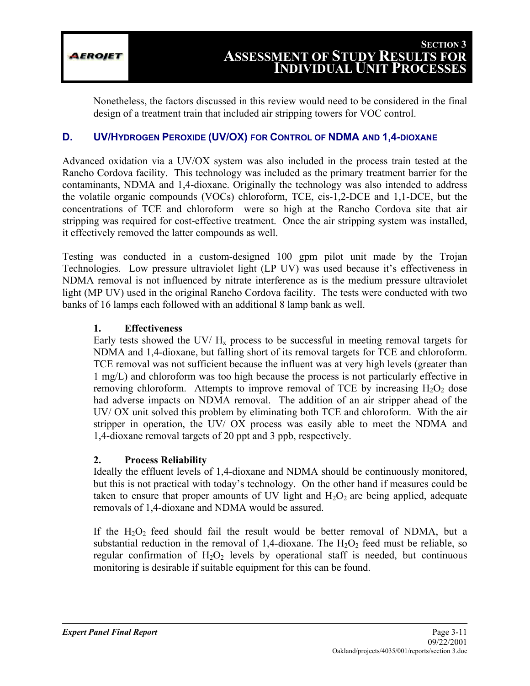EROJET

Nonetheless, the factors discussed in this review would need to be considered in the final design of a treatment train that included air stripping towers for VOC control.

## **D. UV/HYDROGEN PEROXIDE (UV/OX) FOR CONTROL OF NDMA AND 1,4-DIOXANE**

Advanced oxidation via a UV/OX system was also included in the process train tested at the Rancho Cordova facility. This technology was included as the primary treatment barrier for the contaminants, NDMA and 1,4-dioxane. Originally the technology was also intended to address the volatile organic compounds (VOCs) chloroform, TCE, cis-1,2-DCE and 1,1-DCE, but the concentrations of TCE and chloroform were so high at the Rancho Cordova site that air stripping was required for cost-effective treatment. Once the air stripping system was installed, it effectively removed the latter compounds as well.

Testing was conducted in a custom-designed 100 gpm pilot unit made by the Trojan Technologies. Low pressure ultraviolet light (LP UV) was used because it's effectiveness in NDMA removal is not influenced by nitrate interference as is the medium pressure ultraviolet light (MP UV) used in the original Rancho Cordova facility. The tests were conducted with two banks of 16 lamps each followed with an additional 8 lamp bank as well.

## **1. Effectiveness**

Early tests showed the UV/ $H_x$  process to be successful in meeting removal targets for NDMA and 1,4-dioxane, but falling short of its removal targets for TCE and chloroform. TCE removal was not sufficient because the influent was at very high levels (greater than 1 mg/L) and chloroform was too high because the process is not particularly effective in removing chloroform. Attempts to improve removal of TCE by increasing  $H_2O_2$  dose had adverse impacts on NDMA removal. The addition of an air stripper ahead of the UV/ OX unit solved this problem by eliminating both TCE and chloroform. With the air stripper in operation, the UV/ OX process was easily able to meet the NDMA and 1,4-dioxane removal targets of 20 ppt and 3 ppb, respectively.

## **2. Process Reliability**

Ideally the effluent levels of 1,4-dioxane and NDMA should be continuously monitored, but this is not practical with today's technology. On the other hand if measures could be taken to ensure that proper amounts of UV light and  $H_2O_2$  are being applied, adequate removals of 1,4-dioxane and NDMA would be assured.

If the  $H_2O_2$  feed should fail the result would be better removal of NDMA, but a substantial reduction in the removal of 1,4-dioxane. The  $H_2O_2$  feed must be reliable, so regular confirmation of  $H_2O_2$  levels by operational staff is needed, but continuous monitoring is desirable if suitable equipment for this can be found.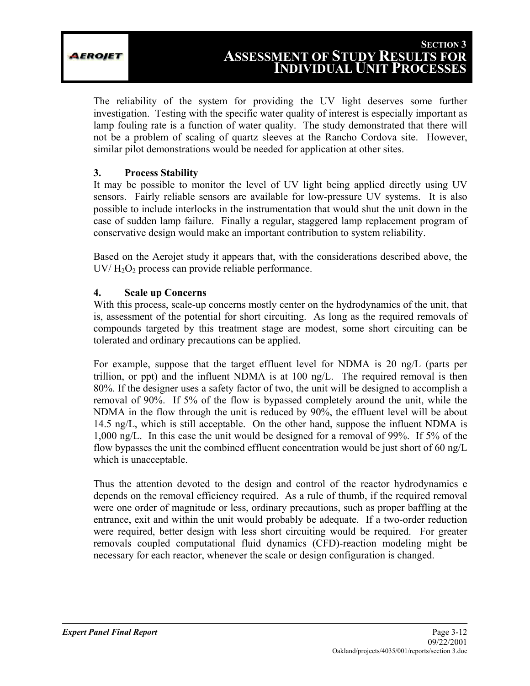The reliability of the system for providing the UV light deserves some further investigation. Testing with the specific water quality of interest is especially important as lamp fouling rate is a function of water quality. The study demonstrated that there will not be a problem of scaling of quartz sleeves at the Rancho Cordova site. However, similar pilot demonstrations would be needed for application at other sites.

## **3. Process Stability**

It may be possible to monitor the level of UV light being applied directly using UV sensors. Fairly reliable sensors are available for low-pressure UV systems. It is also possible to include interlocks in the instrumentation that would shut the unit down in the case of sudden lamp failure. Finally a regular, staggered lamp replacement program of conservative design would make an important contribution to system reliability.

Based on the Aerojet study it appears that, with the considerations described above, the  $UV/H<sub>2</sub>O<sub>2</sub>$  process can provide reliable performance.

#### **4. Scale up Concerns**

With this process, scale-up concerns mostly center on the hydrodynamics of the unit, that is, assessment of the potential for short circuiting. As long as the required removals of compounds targeted by this treatment stage are modest, some short circuiting can be tolerated and ordinary precautions can be applied.

For example, suppose that the target effluent level for NDMA is 20 ng/L (parts per trillion, or ppt) and the influent NDMA is at 100 ng/L. The required removal is then 80%. If the designer uses a safety factor of two, the unit will be designed to accomplish a removal of 90%. If 5% of the flow is bypassed completely around the unit, while the NDMA in the flow through the unit is reduced by 90%, the effluent level will be about 14.5 ng/L, which is still acceptable. On the other hand, suppose the influent NDMA is 1,000 ng/L. In this case the unit would be designed for a removal of 99%. If 5% of the flow bypasses the unit the combined effluent concentration would be just short of 60 ng/L which is unacceptable.

Thus the attention devoted to the design and control of the reactor hydrodynamics e depends on the removal efficiency required. As a rule of thumb, if the required removal were one order of magnitude or less, ordinary precautions, such as proper baffling at the entrance, exit and within the unit would probably be adequate. If a two-order reduction were required, better design with less short circuiting would be required. For greater removals coupled computational fluid dynamics (CFD)-reaction modeling might be necessary for each reactor, whenever the scale or design configuration is changed.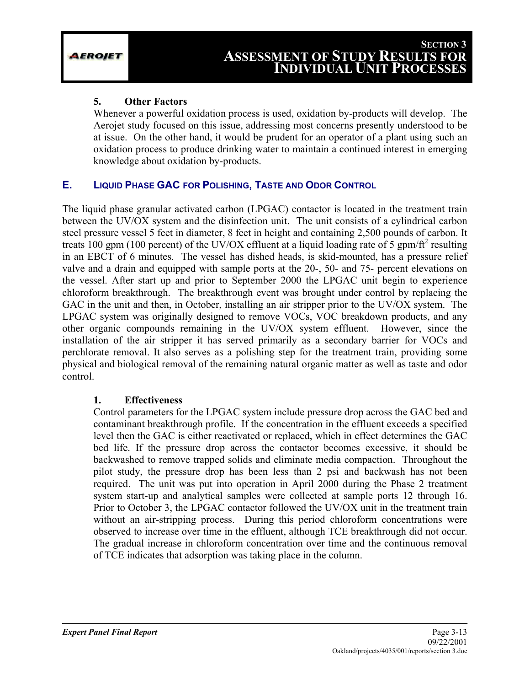#### **5. Other Factors**

Whenever a powerful oxidation process is used, oxidation by-products will develop. The Aerojet study focused on this issue, addressing most concerns presently understood to be at issue. On the other hand, it would be prudent for an operator of a plant using such an oxidation process to produce drinking water to maintain a continued interest in emerging knowledge about oxidation by-products.

## **E. LIQUID PHASE GAC FOR POLISHING, TASTE AND ODOR CONTROL**

The liquid phase granular activated carbon (LPGAC) contactor is located in the treatment train between the UV/OX system and the disinfection unit. The unit consists of a cylindrical carbon steel pressure vessel 5 feet in diameter, 8 feet in height and containing 2,500 pounds of carbon. It treats 100 gpm (100 percent) of the UV/OX effluent at a liquid loading rate of 5 gpm/ft<sup>2</sup> resulting in an EBCT of 6 minutes. The vessel has dished heads, is skid-mounted, has a pressure relief valve and a drain and equipped with sample ports at the 20-, 50- and 75- percent elevations on the vessel. After start up and prior to September 2000 the LPGAC unit begin to experience chloroform breakthrough. The breakthrough event was brought under control by replacing the GAC in the unit and then, in October, installing an air stripper prior to the UV/OX system. The LPGAC system was originally designed to remove VOCs, VOC breakdown products, and any other organic compounds remaining in the UV/OX system effluent. However, since the installation of the air stripper it has served primarily as a secondary barrier for VOCs and perchlorate removal. It also serves as a polishing step for the treatment train, providing some physical and biological removal of the remaining natural organic matter as well as taste and odor control.

## **1. Effectiveness**

Control parameters for the LPGAC system include pressure drop across the GAC bed and contaminant breakthrough profile. If the concentration in the effluent exceeds a specified level then the GAC is either reactivated or replaced, which in effect determines the GAC bed life. If the pressure drop across the contactor becomes excessive, it should be backwashed to remove trapped solids and eliminate media compaction. Throughout the pilot study, the pressure drop has been less than 2 psi and backwash has not been required. The unit was put into operation in April 2000 during the Phase 2 treatment system start-up and analytical samples were collected at sample ports 12 through 16. Prior to October 3, the LPGAC contactor followed the UV/OX unit in the treatment train without an air-stripping process. During this period chloroform concentrations were observed to increase over time in the effluent, although TCE breakthrough did not occur. The gradual increase in chloroform concentration over time and the continuous removal of TCE indicates that adsorption was taking place in the column.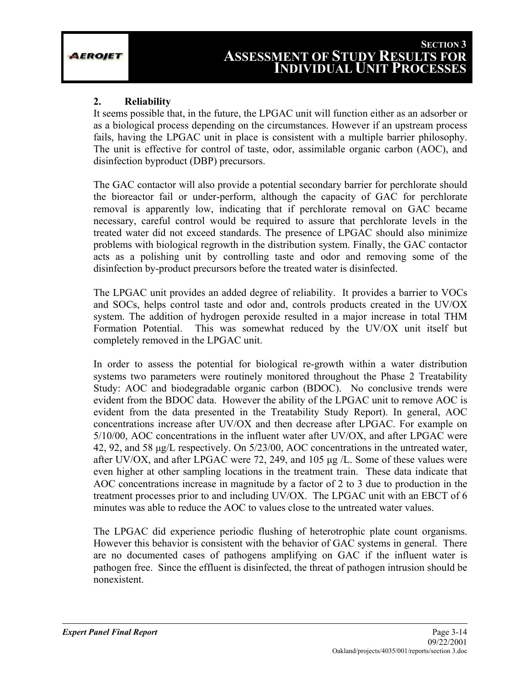#### **2. Reliability**

It seems possible that, in the future, the LPGAC unit will function either as an adsorber or as a biological process depending on the circumstances. However if an upstream process fails, having the LPGAC unit in place is consistent with a multiple barrier philosophy. The unit is effective for control of taste, odor, assimilable organic carbon (AOC), and disinfection byproduct (DBP) precursors.

The GAC contactor will also provide a potential secondary barrier for perchlorate should the bioreactor fail or under-perform, although the capacity of GAC for perchlorate removal is apparently low, indicating that if perchlorate removal on GAC became necessary, careful control would be required to assure that perchlorate levels in the treated water did not exceed standards. The presence of LPGAC should also minimize problems with biological regrowth in the distribution system. Finally, the GAC contactor acts as a polishing unit by controlling taste and odor and removing some of the disinfection by-product precursors before the treated water is disinfected.

The LPGAC unit provides an added degree of reliability. It provides a barrier to VOCs and SOCs, helps control taste and odor and, controls products created in the UV/OX system. The addition of hydrogen peroxide resulted in a major increase in total THM Formation Potential. This was somewhat reduced by the UV/OX unit itself but completely removed in the LPGAC unit.

In order to assess the potential for biological re-growth within a water distribution systems two parameters were routinely monitored throughout the Phase 2 Treatability Study: AOC and biodegradable organic carbon (BDOC). No conclusive trends were evident from the BDOC data. However the ability of the LPGAC unit to remove AOC is evident from the data presented in the Treatability Study Report). In general, AOC concentrations increase after UV/OX and then decrease after LPGAC. For example on 5/10/00, AOC concentrations in the influent water after UV/OX, and after LPGAC were 42, 92, and 58 µg/L respectively. On 5/23/00, AOC concentrations in the untreated water, after UV/OX, and after LPGAC were 72, 249, and 105 µg /L. Some of these values were even higher at other sampling locations in the treatment train. These data indicate that AOC concentrations increase in magnitude by a factor of 2 to 3 due to production in the treatment processes prior to and including UV/OX. The LPGAC unit with an EBCT of 6 minutes was able to reduce the AOC to values close to the untreated water values.

The LPGAC did experience periodic flushing of heterotrophic plate count organisms. However this behavior is consistent with the behavior of GAC systems in general. There are no documented cases of pathogens amplifying on GAC if the influent water is pathogen free. Since the effluent is disinfected, the threat of pathogen intrusion should be nonexistent.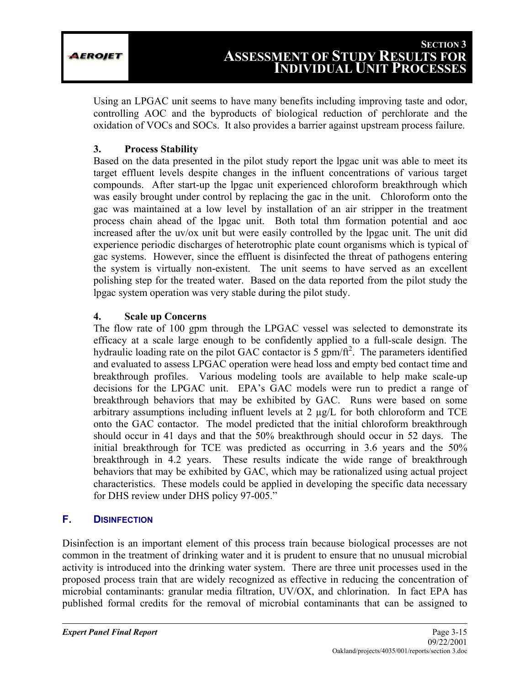Using an LPGAC unit seems to have many benefits including improving taste and odor, controlling AOC and the byproducts of biological reduction of perchlorate and the oxidation of VOCs and SOCs. It also provides a barrier against upstream process failure.

## **3. Process Stability**

Based on the data presented in the pilot study report the lpgac unit was able to meet its target effluent levels despite changes in the influent concentrations of various target compounds. After start-up the lpgac unit experienced chloroform breakthrough which was easily brought under control by replacing the gac in the unit. Chloroform onto the gac was maintained at a low level by installation of an air stripper in the treatment process chain ahead of the lpgac unit. Both total thm formation potential and aoc increased after the uv/ox unit but were easily controlled by the lpgac unit. The unit did experience periodic discharges of heterotrophic plate count organisms which is typical of gac systems. However, since the effluent is disinfected the threat of pathogens entering the system is virtually non-existent. The unit seems to have served as an excellent polishing step for the treated water. Based on the data reported from the pilot study the lpgac system operation was very stable during the pilot study.

## **4. Scale up Concerns**

The flow rate of 100 gpm through the LPGAC vessel was selected to demonstrate its efficacy at a scale large enough to be confidently applied to a full-scale design. The hydraulic loading rate on the pilot GAC contactor is  $5 \text{ gpm/ft}^2$ . The parameters identified and evaluated to assess LPGAC operation were head loss and empty bed contact time and breakthrough profiles. Various modeling tools are available to help make scale-up decisions for the LPGAC unit. EPA's GAC models were run to predict a range of breakthrough behaviors that may be exhibited by GAC. Runs were based on some arbitrary assumptions including influent levels at 2 µg/L for both chloroform and TCE onto the GAC contactor. The model predicted that the initial chloroform breakthrough should occur in 41 days and that the 50% breakthrough should occur in 52 days. The initial breakthrough for TCE was predicted as occurring in 3.6 years and the 50% breakthrough in 4.2 years. These results indicate the wide range of breakthrough behaviors that may be exhibited by GAC, which may be rationalized using actual project characteristics. These models could be applied in developing the specific data necessary for DHS review under DHS policy 97-005."

## **F. DISINFECTION**

Disinfection is an important element of this process train because biological processes are not common in the treatment of drinking water and it is prudent to ensure that no unusual microbial activity is introduced into the drinking water system. There are three unit processes used in the proposed process train that are widely recognized as effective in reducing the concentration of microbial contaminants: granular media filtration, UV/OX, and chlorination. In fact EPA has published formal credits for the removal of microbial contaminants that can be assigned to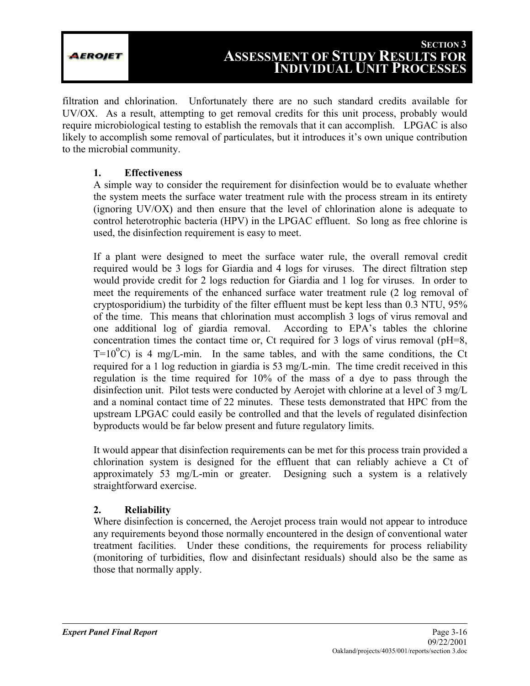EROJET

filtration and chlorination. Unfortunately there are no such standard credits available for UV/OX. As a result, attempting to get removal credits for this unit process, probably would require microbiological testing to establish the removals that it can accomplish. LPGAC is also likely to accomplish some removal of particulates, but it introduces it's own unique contribution to the microbial community.

## **1. Effectiveness**

A simple way to consider the requirement for disinfection would be to evaluate whether the system meets the surface water treatment rule with the process stream in its entirety (ignoring UV/OX) and then ensure that the level of chlorination alone is adequate to control heterotrophic bacteria (HPV) in the LPGAC effluent. So long as free chlorine is used, the disinfection requirement is easy to meet.

If a plant were designed to meet the surface water rule, the overall removal credit required would be 3 logs for Giardia and 4 logs for viruses. The direct filtration step would provide credit for 2 logs reduction for Giardia and 1 log for viruses. In order to meet the requirements of the enhanced surface water treatment rule (2 log removal of cryptosporidium) the turbidity of the filter effluent must be kept less than 0.3 NTU, 95% of the time. This means that chlorination must accomplish 3 logs of virus removal and one additional log of giardia removal. According to EPA's tables the chlorine concentration times the contact time or, Ct required for 3 logs of virus removal (pH=8,  $T=10^{\circ}$ C) is 4 mg/L-min. In the same tables, and with the same conditions, the Ct required for a 1 log reduction in giardia is 53 mg/L-min. The time credit received in this regulation is the time required for 10% of the mass of a dye to pass through the disinfection unit. Pilot tests were conducted by Aerojet with chlorine at a level of 3 mg/L and a nominal contact time of 22 minutes. These tests demonstrated that HPC from the upstream LPGAC could easily be controlled and that the levels of regulated disinfection byproducts would be far below present and future regulatory limits.

It would appear that disinfection requirements can be met for this process train provided a chlorination system is designed for the effluent that can reliably achieve a Ct of approximately 53 mg/L-min or greater. Designing such a system is a relatively straightforward exercise.

## **2. Reliability**

Where disinfection is concerned, the Aerojet process train would not appear to introduce any requirements beyond those normally encountered in the design of conventional water treatment facilities. Under these conditions, the requirements for process reliability (monitoring of turbidities, flow and disinfectant residuals) should also be the same as those that normally apply.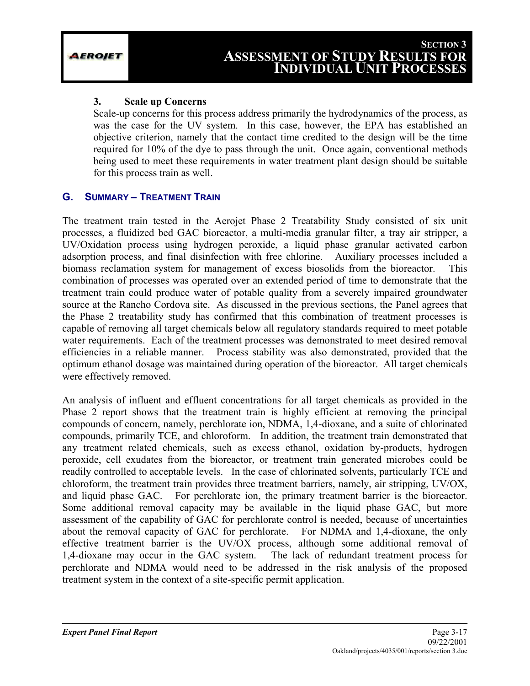#### **3. Scale up Concerns**

Scale-up concerns for this process address primarily the hydrodynamics of the process, as was the case for the UV system. In this case, however, the EPA has established an objective criterion, namely that the contact time credited to the design will be the time required for 10% of the dye to pass through the unit. Once again, conventional methods being used to meet these requirements in water treatment plant design should be suitable for this process train as well.

## **G. SUMMARY – TREATMENT TRAIN**

The treatment train tested in the Aerojet Phase 2 Treatability Study consisted of six unit processes, a fluidized bed GAC bioreactor, a multi-media granular filter, a tray air stripper, a UV/Oxidation process using hydrogen peroxide, a liquid phase granular activated carbon adsorption process, and final disinfection with free chlorine. Auxiliary processes included a biomass reclamation system for management of excess biosolids from the bioreactor. This combination of processes was operated over an extended period of time to demonstrate that the treatment train could produce water of potable quality from a severely impaired groundwater source at the Rancho Cordova site. As discussed in the previous sections, the Panel agrees that the Phase 2 treatability study has confirmed that this combination of treatment processes is capable of removing all target chemicals below all regulatory standards required to meet potable water requirements. Each of the treatment processes was demonstrated to meet desired removal efficiencies in a reliable manner. Process stability was also demonstrated, provided that the optimum ethanol dosage was maintained during operation of the bioreactor. All target chemicals were effectively removed.

An analysis of influent and effluent concentrations for all target chemicals as provided in the Phase 2 report shows that the treatment train is highly efficient at removing the principal compounds of concern, namely, perchlorate ion, NDMA, 1,4-dioxane, and a suite of chlorinated compounds, primarily TCE, and chloroform. In addition, the treatment train demonstrated that any treatment related chemicals, such as excess ethanol, oxidation by-products, hydrogen peroxide, cell exudates from the bioreactor, or treatment train generated microbes could be readily controlled to acceptable levels. In the case of chlorinated solvents, particularly TCE and chloroform, the treatment train provides three treatment barriers, namely, air stripping, UV/OX, and liquid phase GAC. For perchlorate ion, the primary treatment barrier is the bioreactor. Some additional removal capacity may be available in the liquid phase GAC, but more assessment of the capability of GAC for perchlorate control is needed, because of uncertainties about the removal capacity of GAC for perchlorate. For NDMA and 1,4-dioxane, the only effective treatment barrier is the UV/OX process, although some additional removal of 1,4-dioxane may occur in the GAC system. The lack of redundant treatment process for perchlorate and NDMA would need to be addressed in the risk analysis of the proposed treatment system in the context of a site-specific permit application.